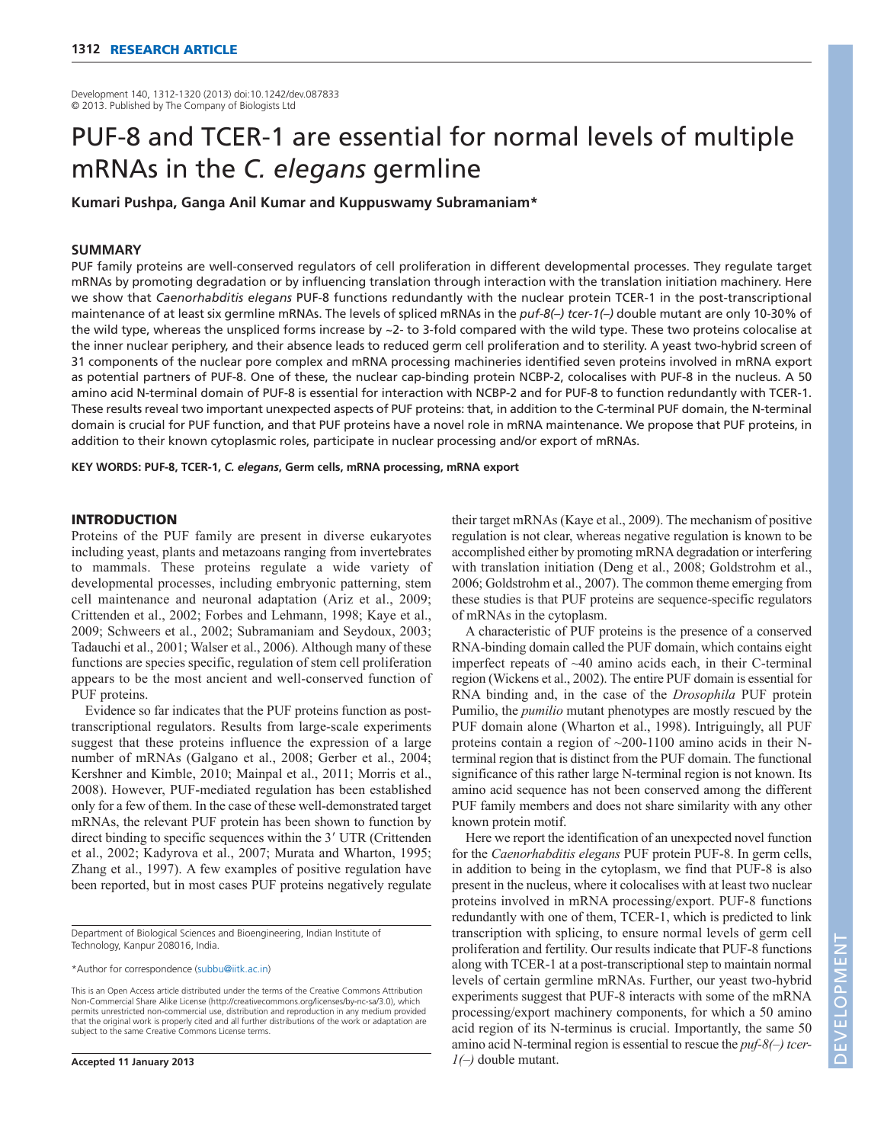Development 140, 1312-1320 (2013) doi:10.1242/dev.087833 © 2013. Published by The Company of Biologists Ltd

# PUF-8 and TCER-1 are essential for normal levels of multiple mRNAs in the *C. elegans* germline

**Kumari Pushpa, Ganga Anil Kumar and Kuppuswamy Subramaniam\***

## **SUMMARY**

PUF family proteins are well-conserved regulators of cell proliferation in different developmental processes. They regulate target mRNAs by promoting degradation or by influencing translation through interaction with the translation initiation machinery. Here we show that *Caenorhabditis elegans* PUF-8 functions redundantly with the nuclear protein TCER-1 in the post-transcriptional maintenance of at least six germline mRNAs. The levels of spliced mRNAs in the *puf-8(–) tcer-1(–)* double mutant are only 10-30% of the wild type, whereas the unspliced forms increase by ~2- to 3-fold compared with the wild type. These two proteins colocalise at the inner nuclear periphery, and their absence leads to reduced germ cell proliferation and to sterility. A yeast two-hybrid screen of 31 components of the nuclear pore complex and mRNA processing machineries identified seven proteins involved in mRNA export as potential partners of PUF-8. One of these, the nuclear cap-binding protein NCBP-2, colocalises with PUF-8 in the nucleus. A 50 amino acid N-terminal domain of PUF-8 is essential for interaction with NCBP-2 and for PUF-8 to function redundantly with TCER-1. These results reveal two important unexpected aspects of PUF proteins: that, in addition to the C-terminal PUF domain, the N-terminal domain is crucial for PUF function, and that PUF proteins have a novel role in mRNA maintenance. We propose that PUF proteins, in addition to their known cytoplasmic roles, participate in nuclear processing and/or export of mRNAs.

**KEY WORDS: PUF-8, TCER-1,** *C. elegans***, Germ cells, mRNA processing, mRNA export**

## INTRODUCTION

Proteins of the PUF family are present in diverse eukaryotes including yeast, plants and metazoans ranging from invertebrates to mammals. These proteins regulate a wide variety of developmental processes, including embryonic patterning, stem cell maintenance and neuronal adaptation (Ariz et al., 2009; Crittenden et al., 2002; Forbes and Lehmann, 1998; Kaye et al., 2009; Schweers et al., 2002; Subramaniam and Seydoux, 2003; Tadauchi et al., 2001; Walser et al., 2006). Although many of these functions are species specific, regulation of stem cell proliferation appears to be the most ancient and well-conserved function of PUF proteins.

Evidence so far indicates that the PUF proteins function as posttranscriptional regulators. Results from large-scale experiments suggest that these proteins influence the expression of a large number of mRNAs (Galgano et al., 2008; Gerber et al., 2004; Kershner and Kimble, 2010; Mainpal et al., 2011; Morris et al., 2008). However, PUF-mediated regulation has been established only for a few of them. In the case of these well-demonstrated target mRNAs, the relevant PUF protein has been shown to function by direct binding to specific sequences within the 3' UTR (Crittenden et al., 2002; Kadyrova et al., 2007; Murata and Wharton, 1995; Zhang et al., 1997). A few examples of positive regulation have been reported, but in most cases PUF proteins negatively regulate

Department of Biological Sciences and Bioengineering, Indian Institute of Technology, Kanpur 208016, India.

\*Author for correspondence (subbu@iitk.ac.in)

This is an Open Access article distributed under the terms of the Creative Commons Attribution Non-Commercial Share Alike License (http://creativecommons.org/licenses/by-nc-sa/3.0), which permits unrestricted non-commercial use, distribution and reproduction in any medium provided that the original work is properly cited and all further distributions of the work or adaptation are subject to the same Creative Commons License terms.

their target mRNAs (Kaye et al., 2009). The mechanism of positive regulation is not clear, whereas negative regulation is known to be accomplished either by promoting mRNA degradation or interfering with translation initiation (Deng et al., 2008; Goldstrohm et al., 2006; Goldstrohm et al., 2007). The common theme emerging from these studies is that PUF proteins are sequence-specific regulators of mRNAs in the cytoplasm.

A characteristic of PUF proteins is the presence of a conserved RNA-binding domain called the PUF domain, which contains eight imperfect repeats of ~40 amino acids each, in their C-terminal region (Wickens et al., 2002). The entire PUF domain is essential for RNA binding and, in the case of the *Drosophila* PUF protein Pumilio, the *pumilio* mutant phenotypes are mostly rescued by the PUF domain alone (Wharton et al., 1998). Intriguingly, all PUF proteins contain a region of  $\sim$ 200-1100 amino acids in their Nterminal region that is distinct from the PUF domain. The functional significance of this rather large N-terminal region is not known. Its amino acid sequence has not been conserved among the different PUF family members and does not share similarity with any other known protein motif.

Here we report the identification of an unexpected novel function for the *Caenorhabditis elegans* PUF protein PUF-8. In germ cells, in addition to being in the cytoplasm, we find that PUF-8 is also present in the nucleus, where it colocalises with at least two nuclear proteins involved in mRNA processing/export. PUF-8 functions redundantly with one of them, TCER-1, which is predicted to link transcription with splicing, to ensure normal levels of germ cell proliferation and fertility. Our results indicate that PUF-8 functions along with TCER-1 at a post-transcriptional step to maintain normal levels of certain germline mRNAs. Further, our yeast two-hybrid experiments suggest that PUF-8 interacts with some of the mRNA processing/export machinery components, for which a 50 amino acid region of its N-terminus is crucial. Importantly, the same 50 amino acid N-terminal region is essential to rescue the *puf-8(–) tcer-1(–)* double mutant.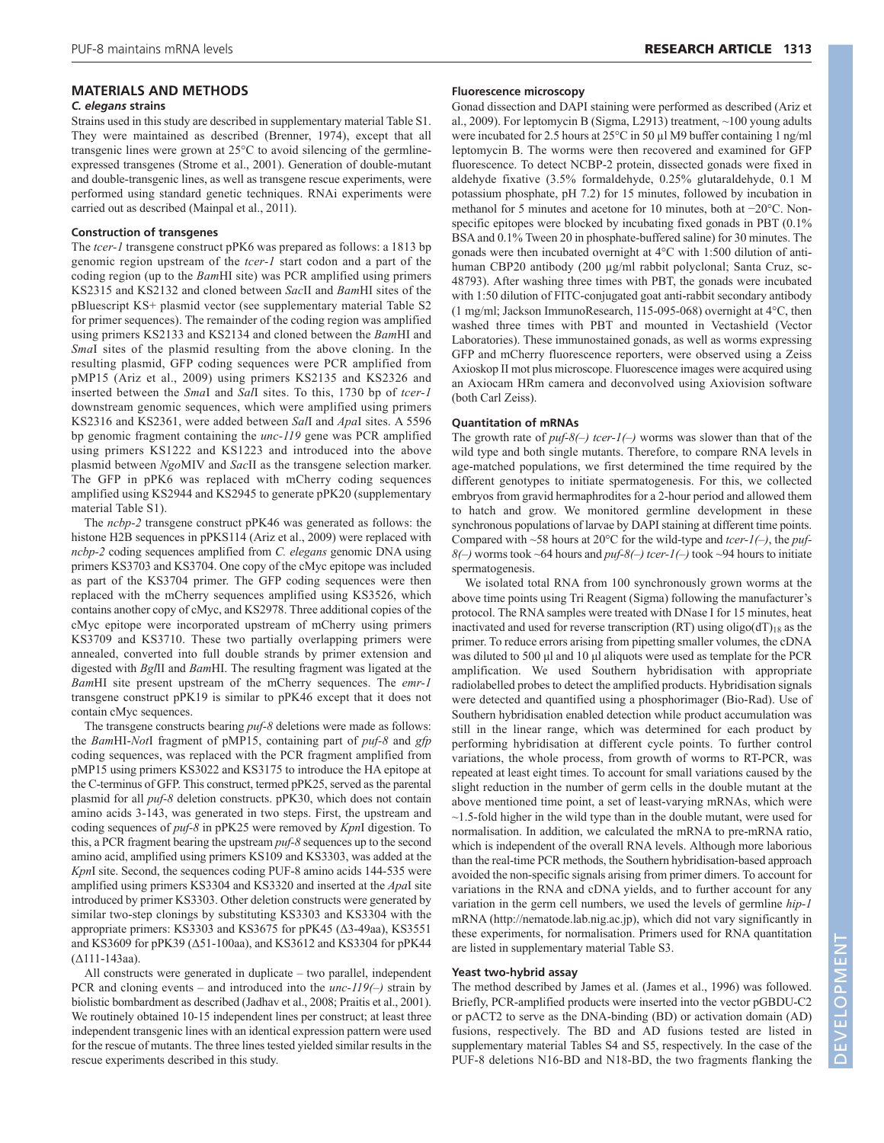# **MATERIALS AND METHODS**

# *C. elegans* **strains**

Strains used in this study are described in supplementary material Table S1. They were maintained as described (Brenner, 1974), except that all transgenic lines were grown at 25°C to avoid silencing of the germlineexpressed transgenes (Strome et al., 2001). Generation of double-mutant and double-transgenic lines, as well as transgene rescue experiments, were performed using standard genetic techniques. RNAi experiments were carried out as described (Mainpal et al., 2011).

# **Construction of transgenes**

The *tcer-1* transgene construct pPK6 was prepared as follows: a 1813 bp genomic region upstream of the *tcer-1* start codon and a part of the coding region (up to the *Bam*HI site) was PCR amplified using primers KS2315 and KS2132 and cloned between *Sac*II and *Bam*HI sites of the pBluescript KS+ plasmid vector (see supplementary material Table S2 for primer sequences). The remainder of the coding region was amplified using primers KS2133 and KS2134 and cloned between the *Bam*HI and *Sma*I sites of the plasmid resulting from the above cloning. In the resulting plasmid, GFP coding sequences were PCR amplified from pMP15 (Ariz et al., 2009) using primers KS2135 and KS2326 and inserted between the *Sma*I and *Sal*I sites. To this, 1730 bp of *tcer-1* downstream genomic sequences, which were amplified using primers KS2316 and KS2361, were added between *Sal*I and *Apa*I sites. A 5596 bp genomic fragment containing the *unc-119* gene was PCR amplified using primers KS1222 and KS1223 and introduced into the above plasmid between *Ngo*MIV and *Sac*II as the transgene selection marker. The GFP in pPK6 was replaced with mCherry coding sequences amplified using KS2944 and KS2945 to generate pPK20 (supplementary material Table S1).

The *ncbp-2* transgene construct pPK46 was generated as follows: the histone H2B sequences in pPKS114 (Ariz et al., 2009) were replaced with *ncbp-2* coding sequences amplified from *C. elegans* genomic DNA using primers KS3703 and KS3704. One copy of the cMyc epitope was included as part of the KS3704 primer. The GFP coding sequences were then replaced with the mCherry sequences amplified using KS3526, which contains another copy of cMyc, and KS2978. Three additional copies of the cMyc epitope were incorporated upstream of mCherry using primers KS3709 and KS3710. These two partially overlapping primers were annealed, converted into full double strands by primer extension and digested with *Bgl*II and *Bam*HI. The resulting fragment was ligated at the *Bam*HI site present upstream of the mCherry sequences. The *emr-1* transgene construct pPK19 is similar to pPK46 except that it does not contain cMyc sequences.

The transgene constructs bearing *puf-8* deletions were made as follows: the *Bam*HI-*Not*I fragment of pMP15, containing part of *puf-8* and *gfp* coding sequences, was replaced with the PCR fragment amplified from pMP15 using primers KS3022 and KS3175 to introduce the HA epitope at the C-terminus of GFP. This construct, termed pPK25, served as the parental plasmid for all *puf-8* deletion constructs. pPK30, which does not contain amino acids 3-143, was generated in two steps. First, the upstream and coding sequences of *puf-8* in pPK25 were removed by *Kpn*I digestion. To this, a PCR fragment bearing the upstream *puf-8* sequences up to the second amino acid, amplified using primers KS109 and KS3303, was added at the *Kpn*I site. Second, the sequences coding PUF-8 amino acids 144-535 were amplified using primers KS3304 and KS3320 and inserted at the *Apa*I site introduced by primer KS3303. Other deletion constructs were generated by similar two-step clonings by substituting KS3303 and KS3304 with the appropriate primers: KS3303 and KS3675 for pPK45 (Δ3-49aa), KS3551 and KS3609 for pPK39 (Δ51-100aa), and KS3612 and KS3304 for pPK44 (Δ111-143aa).

All constructs were generated in duplicate – two parallel, independent PCR and cloning events – and introduced into the *unc-119(–)* strain by biolistic bombardment as described (Jadhav et al., 2008; Praitis et al., 2001). We routinely obtained 10-15 independent lines per construct; at least three independent transgenic lines with an identical expression pattern were used for the rescue of mutants. The three lines tested yielded similar results in the rescue experiments described in this study.

## **Fluorescence microscopy**

Gonad dissection and DAPI staining were performed as described (Ariz et al., 2009). For leptomycin B (Sigma, L2913) treatment, ~100 young adults were incubated for 2.5 hours at 25°C in 50 µl M9 buffer containing 1 ng/ml leptomycin B. The worms were then recovered and examined for GFP fluorescence. To detect NCBP-2 protein, dissected gonads were fixed in aldehyde fixative (3.5% formaldehyde, 0.25% glutaraldehyde, 0.1 M potassium phosphate, pH 7.2) for 15 minutes, followed by incubation in methanol for 5 minutes and acetone for 10 minutes, both at −20°C. Nonspecific epitopes were blocked by incubating fixed gonads in PBT (0.1% BSA and 0.1% Tween 20 in phosphate-buffered saline) for 30 minutes. The gonads were then incubated overnight at 4°C with 1:500 dilution of antihuman CBP20 antibody (200 µg/ml rabbit polyclonal; Santa Cruz, sc-48793). After washing three times with PBT, the gonads were incubated with 1:50 dilution of FITC-conjugated goat anti-rabbit secondary antibody (1 mg/ml; Jackson ImmunoResearch, 115-095-068) overnight at 4°C, then washed three times with PBT and mounted in Vectashield (Vector Laboratories). These immunostained gonads, as well as worms expressing GFP and mCherry fluorescence reporters, were observed using a Zeiss Axioskop II mot plus microscope. Fluorescence images were acquired using an Axiocam HRm camera and deconvolved using Axiovision software (both Carl Zeiss).

# **Quantitation of mRNAs**

The growth rate of *puf-8(–) tcer-1(–)* worms was slower than that of the wild type and both single mutants. Therefore, to compare RNA levels in age-matched populations, we first determined the time required by the different genotypes to initiate spermatogenesis. For this, we collected embryos from gravid hermaphrodites for a 2-hour period and allowed them to hatch and grow. We monitored germline development in these synchronous populations of larvae by DAPI staining at different time points. Compared with ~58 hours at 20°C for the wild-type and *tcer-1(–)*, the *puf-8(–)* worms took ~64 hours and *puf-8(–) tcer-1(–)* took ~94 hours to initiate spermatogenesis.

We isolated total RNA from 100 synchronously grown worms at the above time points using Tri Reagent (Sigma) following the manufacturer's protocol. The RNA samples were treated with DNase I for 15 minutes, heat inactivated and used for reverse transcription (RT) using  $oligo(dT)_{18}$  as the primer. To reduce errors arising from pipetting smaller volumes, the cDNA was diluted to 500 μl and 10 μl aliquots were used as template for the PCR amplification. We used Southern hybridisation with appropriate radiolabelled probes to detect the amplified products. Hybridisation signals were detected and quantified using a phosphorimager (Bio-Rad). Use of Southern hybridisation enabled detection while product accumulation was still in the linear range, which was determined for each product by performing hybridisation at different cycle points. To further control variations, the whole process, from growth of worms to RT-PCR, was repeated at least eight times. To account for small variations caused by the slight reduction in the number of germ cells in the double mutant at the above mentioned time point, a set of least-varying mRNAs, which were  $\sim$ 1.5-fold higher in the wild type than in the double mutant, were used for normalisation. In addition, we calculated the mRNA to pre-mRNA ratio, which is independent of the overall RNA levels. Although more laborious than the real-time PCR methods, the Southern hybridisation-based approach avoided the non-specific signals arising from primer dimers. To account for variations in the RNA and cDNA yields, and to further account for any variation in the germ cell numbers, we used the levels of germline *hip-1* mRNA (http://nematode.lab.nig.ac.jp), which did not vary significantly in these experiments, for normalisation. Primers used for RNA quantitation are listed in supplementary material Table S3.

## **Yeast two-hybrid assay**

The method described by James et al. (James et al., 1996) was followed. Briefly, PCR-amplified products were inserted into the vector pGBDU-C2 or pACT2 to serve as the DNA-binding (BD) or activation domain (AD) fusions, respectively. The BD and AD fusions tested are listed in supplementary material Tables S4 and S5, respectively. In the case of the PUF-8 deletions N16-BD and N18-BD, the two fragments flanking the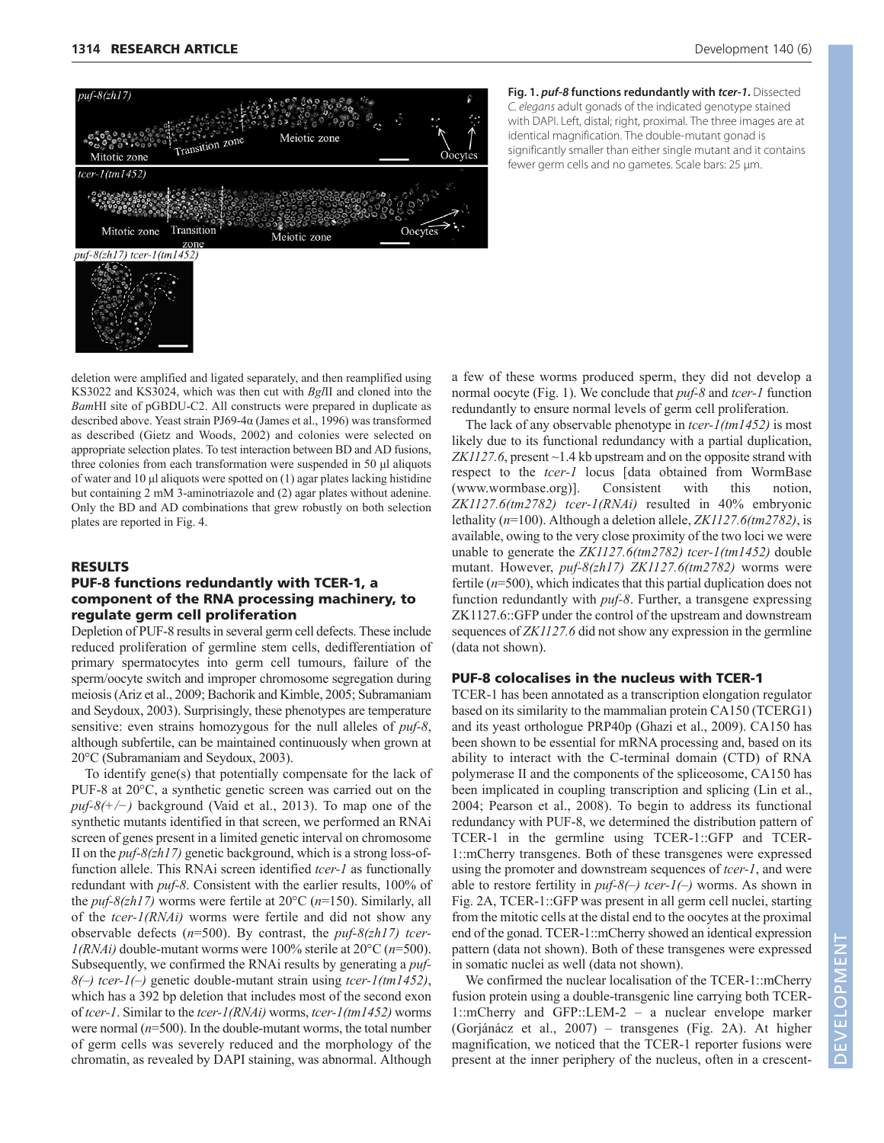

**Fig. 1. puf-8 functions redundantly with tcer-1.** Dissected C. elegans adult gonads of the indicated genotype stained with DAPI. Left, distal; right, proximal. The three images are at identical magnification. The double-mutant gonad is significantly smaller than either single mutant and it contains fewer germ cells and no gametes. Scale bars: 25 μm.

deletion were amplified and ligated separately, and then reamplified using KS3022 and KS3024, which was then cut with *Bgl*II and cloned into the *Bam*HI site of pGBDU-C2. All constructs were prepared in duplicate as described above. Yeast strain PJ69-4α (James et al., 1996) was transformed as described (Gietz and Woods, 2002) and colonies were selected on appropriate selection plates. To test interaction between BD and AD fusions, three colonies from each transformation were suspended in 50 μl aliquots of water and 10 μl aliquots were spotted on (1) agar plates lacking histidine but containing 2 mM 3-aminotriazole and (2) agar plates without adenine. Only the BD and AD combinations that grew robustly on both selection plates are reported in Fig. 4.

# RESULTS

# PUF-8 functions redundantly with TCER-1, a component of the RNA processing machinery, to regulate germ cell proliferation

Depletion of PUF-8 results in several germ cell defects. These include reduced proliferation of germline stem cells, dedifferentiation of primary spermatocytes into germ cell tumours, failure of the sperm/oocyte switch and improper chromosome segregation during meiosis (Ariz et al., 2009; Bachorik and Kimble, 2005; Subramaniam and Seydoux, 2003). Surprisingly, these phenotypes are temperature sensitive: even strains homozygous for the null alleles of *puf-8*, although subfertile, can be maintained continuously when grown at 20°C (Subramaniam and Seydoux, 2003).

To identify gene(s) that potentially compensate for the lack of PUF-8 at 20°C, a synthetic genetic screen was carried out on the *puf-8(+/−)* background (Vaid et al., 2013). To map one of the synthetic mutants identified in that screen, we performed an RNAi screen of genes present in a limited genetic interval on chromosome II on the *puf-8(zh17)* genetic background, which is a strong loss-offunction allele. This RNAi screen identified *tcer-1* as functionally redundant with *puf-8*. Consistent with the earlier results, 100% of the *puf-8(zh17)* worms were fertile at 20°C (*n*=150). Similarly, all of the *tcer-1(RNAi)* worms were fertile and did not show any observable defects (*n*=500). By contrast, the *puf-8(zh17) tcer-1(RNAi)* double-mutant worms were 100% sterile at 20°C (*n*=500). Subsequently, we confirmed the RNAi results by generating a *puf-8(–) tcer-1(–)* genetic double-mutant strain using *tcer-1(tm1452)*, which has a 392 bp deletion that includes most of the second exon of *tcer-1*. Similar to the *tcer-1(RNAi)* worms, *tcer-1(tm1452)* worms were normal (*n*=500). In the double-mutant worms, the total number of germ cells was severely reduced and the morphology of the chromatin, as revealed by DAPI staining, was abnormal. Although a few of these worms produced sperm, they did not develop a normal oocyte (Fig. 1). We conclude that *puf-8* and *tcer-1* function redundantly to ensure normal levels of germ cell proliferation.

The lack of any observable phenotype in *tcer-1(tm1452)* is most likely due to its functional redundancy with a partial duplication, *ZK1127.6*, present ~1.4 kb upstream and on the opposite strand with respect to the *tcer-1* locus [data obtained from WormBase (www.wormbase.org)]. Consistent with this notion, *ZK1127.6(tm2782) tcer-1(RNAi)* resulted in 40% embryonic lethality (*n*=100). Although a deletion allele, *ZK1127.6(tm2782)*, is available, owing to the very close proximity of the two loci we were unable to generate the *ZK1127.6(tm2782) tcer-1(tm1452)* double mutant. However, *puf-8(zh17) ZK1127.6(tm2782)* worms were fertile (*n*=500), which indicates that this partial duplication does not function redundantly with *puf-8*. Further, a transgene expressing ZK1127.6::GFP under the control of the upstream and downstream sequences of *ZK1127.6* did not show any expression in the germline (data not shown).

# PUF-8 colocalises in the nucleus with TCER-1

TCER-1 has been annotated as a transcription elongation regulator based on its similarity to the mammalian protein CA150 (TCERG1) and its yeast orthologue PRP40p (Ghazi et al., 2009). CA150 has been shown to be essential for mRNA processing and, based on its ability to interact with the C-terminal domain (CTD) of RNA polymerase II and the components of the spliceosome, CA150 has been implicated in coupling transcription and splicing (Lin et al., 2004; Pearson et al., 2008). To begin to address its functional redundancy with PUF-8, we determined the distribution pattern of TCER-1 in the germline using TCER-1::GFP and TCER-1::mCherry transgenes. Both of these transgenes were expressed using the promoter and downstream sequences of *tcer-1*, and were able to restore fertility in *puf-8(–) tcer-1(–)* worms. As shown in Fig. 2A, TCER-1::GFP was present in all germ cell nuclei, starting from the mitotic cells at the distal end to the oocytes at the proximal end of the gonad. TCER-1::mCherry showed an identical expression pattern (data not shown). Both of these transgenes were expressed in somatic nuclei as well (data not shown).

We confirmed the nuclear localisation of the TCER-1::mCherry fusion protein using a double-transgenic line carrying both TCER-1::mCherry and GFP::LEM-2 – a nuclear envelope marker (Gorjánácz et al., 2007) – transgenes (Fig. 2A). At higher magnification, we noticed that the TCER-1 reporter fusions were present at the inner periphery of the nucleus, often in a crescent-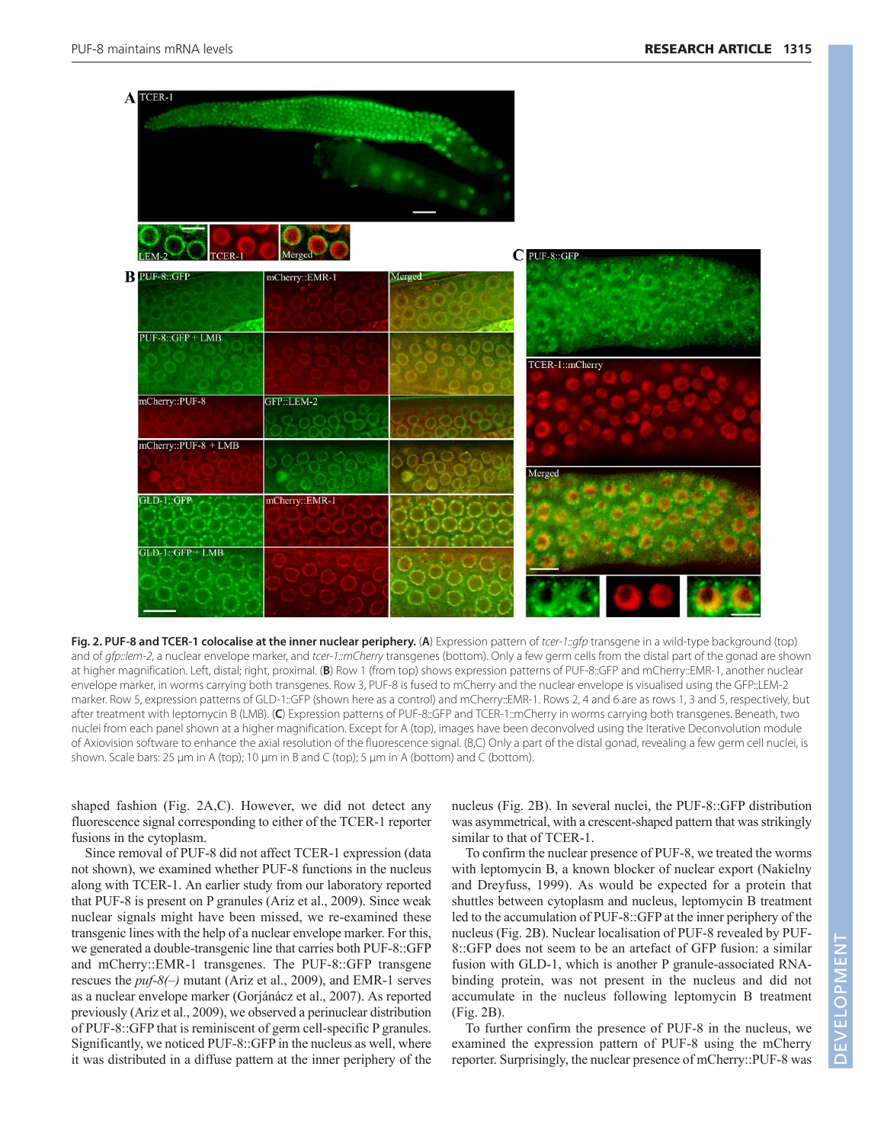

**Fig. 2. PUF-8 and TCER-1 colocalise at the inner nuclear periphery.** (**A**) Expression pattern of tcer-1::gfp transgene in a wild-type background (top) and of gfp::/em-2, a nuclear envelope marker, and tcer-1::mCherry transgenes (bottom). Only a few germ cells from the distal part of the gonad are shown at higher magnification. Left, distal; right, proximal. (**B**) Row 1 (from top) shows expression patterns of PUF-8::GFP and mCherry::EMR-1, another nuclear envelope marker, in worms carrying both transgenes. Row 3, PUF-8 is fused to mCherry and the nuclear envelope is visualised using the GFP::LEM-2 marker. Row 5, expression patterns of GLD-1::GFP (shown here as a control) and mCherry::EMR-1. Rows 2, 4 and 6 are as rows 1, 3 and 5, respectively, but after treatment with leptomycin B (LMB). (**C**) Expression patterns of PUF-8::GFP and TCER-1::mCherry in worms carrying both transgenes. Beneath, two nuclei from each panel shown at a higher magnification. Except for A (top), images have been deconvolved using the Iterative Deconvolution module of Axiovision software to enhance the axial resolution of the fluorescence signal. (B,C) Only a part of the distal gonad, revealing a few germ cell nuclei, is shown. Scale bars: 25 μm in A (top); 10 μm in B and C (top); 5 μm in A (bottom) and C (bottom).

shaped fashion (Fig. 2A,C). However, we did not detect any fluorescence signal corresponding to either of the TCER-1 reporter fusions in the cytoplasm.

Since removal of PUF-8 did not affect TCER-1 expression (data not shown), we examined whether PUF-8 functions in the nucleus along with TCER-1. An earlier study from our laboratory reported that PUF-8 is present on P granules (Ariz et al., 2009). Since weak nuclear signals might have been missed, we re-examined these transgenic lines with the help of a nuclear envelope marker. For this, we generated a double-transgenic line that carries both PUF-8::GFP and mCherry::EMR-1 transgenes. The PUF-8::GFP transgene rescues the *puf-8(–)* mutant (Ariz et al., 2009), and EMR-1 serves as a nuclear envelope marker (Gorjánácz et al., 2007). As reported previously (Ariz et al., 2009), we observed a perinuclear distribution of PUF-8::GFP that is reminiscent of germ cell-specific P granules. Significantly, we noticed PUF-8::GFP in the nucleus as well, where it was distributed in a diffuse pattern at the inner periphery of the nucleus (Fig. 2B). In several nuclei, the PUF-8::GFP distribution was asymmetrical, with a crescent-shaped pattern that was strikingly similar to that of TCER-1.

To confirm the nuclear presence of PUF-8, we treated the worms with leptomycin B, a known blocker of nuclear export (Nakielny and Dreyfuss, 1999). As would be expected for a protein that shuttles between cytoplasm and nucleus, leptomycin B treatment led to the accumulation of PUF-8::GFP at the inner periphery of the nucleus (Fig. 2B). Nuclear localisation of PUF-8 revealed by PUF-8::GFP does not seem to be an artefact of GFP fusion: a similar fusion with GLD-1, which is another P granule-associated RNAbinding protein, was not present in the nucleus and did not accumulate in the nucleus following leptomycin B treatment (Fig. 2B).

To further confirm the presence of PUF-8 in the nucleus, we examined the expression pattern of PUF-8 using the mCherry reporter. Surprisingly, the nuclear presence of mCherry::PUF-8 was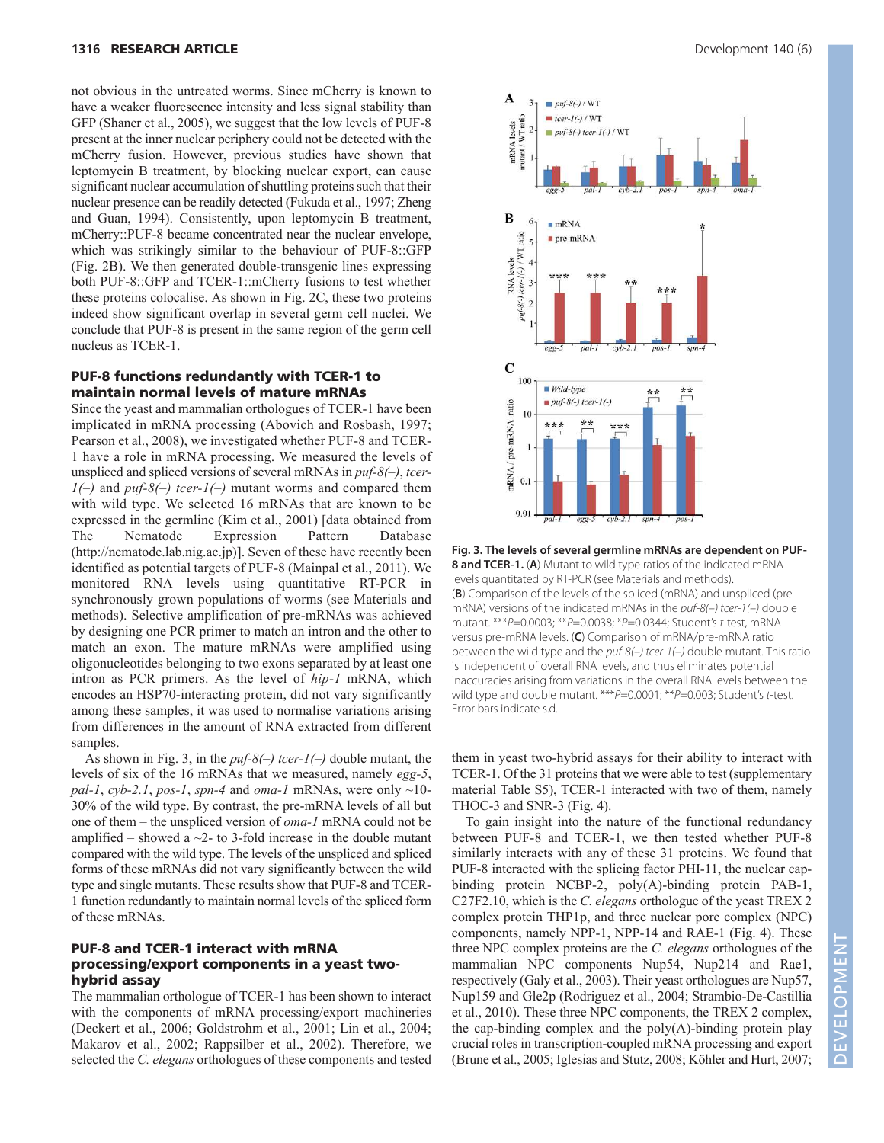not obvious in the untreated worms. Since mCherry is known to have a weaker fluorescence intensity and less signal stability than GFP (Shaner et al., 2005), we suggest that the low levels of PUF-8 present at the inner nuclear periphery could not be detected with the mCherry fusion. However, previous studies have shown that leptomycin B treatment, by blocking nuclear export, can cause significant nuclear accumulation of shuttling proteins such that their nuclear presence can be readily detected (Fukuda et al., 1997; Zheng and Guan, 1994). Consistently, upon leptomycin B treatment, mCherry::PUF-8 became concentrated near the nuclear envelope, which was strikingly similar to the behaviour of PUF-8::GFP (Fig. 2B). We then generated double-transgenic lines expressing both PUF-8::GFP and TCER-1::mCherry fusions to test whether these proteins colocalise. As shown in Fig. 2C, these two proteins indeed show significant overlap in several germ cell nuclei. We conclude that PUF-8 is present in the same region of the germ cell nucleus as TCER-1.

# PUF-8 functions redundantly with TCER-1 to maintain normal levels of mature mRNAs

Since the yeast and mammalian orthologues of TCER-1 have been implicated in mRNA processing (Abovich and Rosbash, 1997; Pearson et al., 2008), we investigated whether PUF-8 and TCER-1 have a role in mRNA processing. We measured the levels of unspliced and spliced versions of several mRNAs in *puf-8(–)*, *tcer-1(–)* and *puf-8(–) tcer-1(–)* mutant worms and compared them with wild type. We selected 16 mRNAs that are known to be expressed in the germline (Kim et al., 2001) [data obtained from The Nematode Expression Pattern Database (http://nematode.lab.nig.ac.jp)]. Seven of these have recently been identified as potential targets of PUF-8 (Mainpal et al., 2011). We monitored RNA levels using quantitative RT-PCR in synchronously grown populations of worms (see Materials and methods). Selective amplification of pre-mRNAs was achieved by designing one PCR primer to match an intron and the other to match an exon. The mature mRNAs were amplified using oligonucleotides belonging to two exons separated by at least one intron as PCR primers. As the level of *hip-1* mRNA, which encodes an HSP70-interacting protein, did not vary significantly among these samples, it was used to normalise variations arising from differences in the amount of RNA extracted from different samples.

As shown in Fig. 3, in the *puf-8(–) tcer-1(–)* double mutant, the levels of six of the 16 mRNAs that we measured, namely *egg-5*, *pal-1*, *cyb-2.1*, *pos-1*, *spn-4* and *oma-1* mRNAs, were only  $\sim$ 10-30% of the wild type. By contrast, the pre-mRNA levels of all but one of them – the unspliced version of *oma-1* mRNA could not be amplified – showed a  $\sim$ 2- to 3-fold increase in the double mutant compared with the wild type. The levels of the unspliced and spliced forms of these mRNAs did not vary significantly between the wild type and single mutants. These results show that PUF-8 and TCER-1 function redundantly to maintain normal levels of the spliced form of these mRNAs.

# PUF-8 and TCER-1 interact with mRNA processing/export components in a yeast twohybrid assay

The mammalian orthologue of TCER-1 has been shown to interact with the components of mRNA processing/export machineries (Deckert et al., 2006; Goldstrohm et al., 2001; Lin et al., 2004; Makarov et al., 2002; Rappsilber et al., 2002). Therefore, we selected the *C. elegans* orthologues of these components and tested



**Fig. 3. The levels of several germline mRNAs are dependent on PUF-8 and TCER-1.** (**A**) Mutant to wild type ratios of the indicated mRNA levels quantitated by RT-PCR (see Materials and methods). (**B**) Comparison of the levels of the spliced (mRNA) and unspliced (premRNA) versions of the indicated mRNAs in the puf-8(-) tcer-1(-) double mutant. \*\*\*P=0.0003; \*\*P=0.0038; \*P=0.0344; Student's t-test, mRNA versus pre-mRNA levels. (**C**) Comparison of mRNA/pre-mRNA ratio between the wild type and the  $put-8(-)$  tcer-1(-) double mutant. This ratio is independent of overall RNA levels, and thus eliminates potential inaccuracies arising from variations in the overall RNA levels between the wild type and double mutant. \*\*\* P=0.0001; \*\* P=0.003; Student's t-test. Error bars indicate s.d.

them in yeast two-hybrid assays for their ability to interact with TCER-1. Of the 31 proteins that we were able to test (supplementary material Table S5), TCER-1 interacted with two of them, namely THOC-3 and SNR-3 (Fig. 4).

To gain insight into the nature of the functional redundancy between PUF-8 and TCER-1, we then tested whether PUF-8 similarly interacts with any of these 31 proteins. We found that PUF-8 interacted with the splicing factor PHI-11, the nuclear capbinding protein NCBP-2, poly(A)-binding protein PAB-1, C27F2.10, which is the *C. elegans* orthologue of the yeast TREX 2 complex protein THP1p, and three nuclear pore complex (NPC) components, namely NPP-1, NPP-14 and RAE-1 (Fig. 4). These three NPC complex proteins are the *C. elegans* orthologues of the mammalian NPC components Nup54, Nup214 and Rae1, respectively (Galy et al., 2003). Their yeast orthologues are Nup57, Nup159 and Gle2p (Rodriguez et al., 2004; Strambio-De-Castillia et al., 2010). These three NPC components, the TREX 2 complex, the cap-binding complex and the  $poly(A)$ -binding protein play crucial roles in transcription-coupled mRNA processing and export (Brune et al., 2005; Iglesias and Stutz, 2008; Köhler and Hurt, 2007;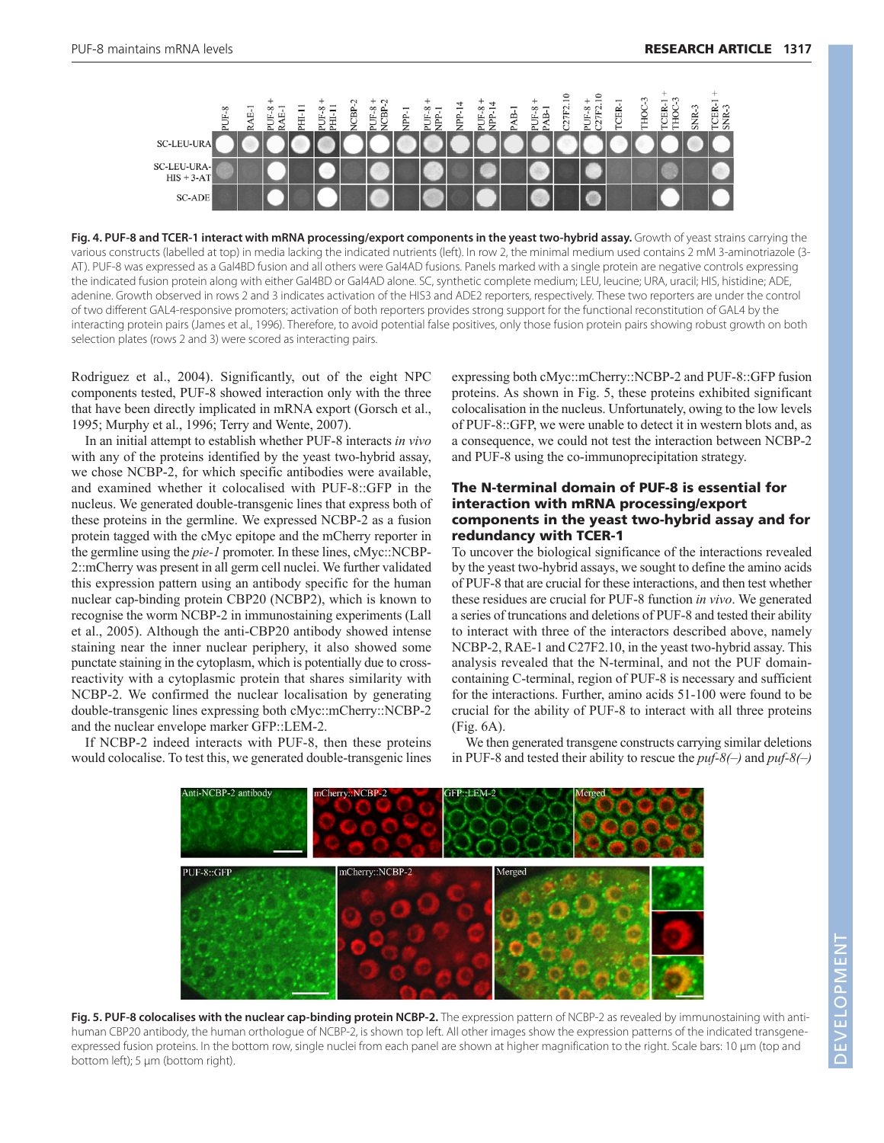

Fig. 4. PUF-8 and TCER-1 interact with mRNA processing/export components in the yeast two-hybrid assay. Growth of yeast strains carrying the various constructs (labelled at top) in media lacking the indicated nutrients (left). In row 2, the minimal medium used contains 2 mM 3-aminotriazole (3- AT). PUF-8 was expressed as a Gal4BD fusion and all others were Gal4AD fusions. Panels marked with a single protein are negative controls expressing the indicated fusion protein along with either Gal4BD or Gal4AD alone. SC, synthetic complete medium; LEU, leucine; URA, uracil; HIS, histidine; ADE, adenine. Growth observed in rows 2 and 3 indicates activation of the HIS3 and ADE2 reporters, respectively. These two reporters are under the control of two different GAL4-responsive promoters; activation of both reporters provides strong support for the functional reconstitution of GAL4 by the interacting protein pairs (James et al., 1996). Therefore, to avoid potential false positives, only those fusion protein pairs showing robust growth on both selection plates (rows 2 and 3) were scored as interacting pairs.

Rodriguez et al., 2004). Significantly, out of the eight NPC components tested, PUF-8 showed interaction only with the three that have been directly implicated in mRNA export (Gorsch et al., 1995; Murphy et al., 1996; Terry and Wente, 2007).

In an initial attempt to establish whether PUF-8 interacts *in vivo* with any of the proteins identified by the yeast two-hybrid assay, we chose NCBP-2, for which specific antibodies were available, and examined whether it colocalised with PUF-8::GFP in the nucleus. We generated double-transgenic lines that express both of these proteins in the germline. We expressed NCBP-2 as a fusion protein tagged with the cMyc epitope and the mCherry reporter in the germline using the *pie-1* promoter. In these lines, cMyc::NCBP-2::mCherry was present in all germ cell nuclei. We further validated this expression pattern using an antibody specific for the human nuclear cap-binding protein CBP20 (NCBP2), which is known to recognise the worm NCBP-2 in immunostaining experiments (Lall et al., 2005). Although the anti-CBP20 antibody showed intense staining near the inner nuclear periphery, it also showed some punctate staining in the cytoplasm, which is potentially due to crossreactivity with a cytoplasmic protein that shares similarity with NCBP-2. We confirmed the nuclear localisation by generating double-transgenic lines expressing both cMyc::mCherry::NCBP-2 and the nuclear envelope marker GFP::LEM-2.

If NCBP-2 indeed interacts with PUF-8, then these proteins would colocalise. To test this, we generated double-transgenic lines expressing both cMyc::mCherry::NCBP-2 and PUF-8::GFP fusion proteins. As shown in Fig. 5, these proteins exhibited significant colocalisation in the nucleus. Unfortunately, owing to the low levels of PUF-8::GFP, we were unable to detect it in western blots and, as a consequence, we could not test the interaction between NCBP-2 and PUF-8 using the co-immunoprecipitation strategy.

# The N-terminal domain of PUF-8 is essential for interaction with mRNA processing/export components in the yeast two-hybrid assay and for redundancy with TCER-1

To uncover the biological significance of the interactions revealed by the yeast two-hybrid assays, we sought to define the amino acids of PUF-8 that are crucial for these interactions, and then test whether these residues are crucial for PUF-8 function *in vivo*. We generated a series of truncations and deletions of PUF-8 and tested their ability to interact with three of the interactors described above, namely NCBP-2, RAE-1 and C27F2.10, in the yeast two-hybrid assay. This analysis revealed that the N-terminal, and not the PUF domaincontaining C-terminal, region of PUF-8 is necessary and sufficient for the interactions. Further, amino acids 51-100 were found to be crucial for the ability of PUF-8 to interact with all three proteins (Fig. 6A).

We then generated transgene constructs carrying similar deletions in PUF-8 and tested their ability to rescue the *puf-8(–)* and *puf-8(–)*



**Fig. 5. PUF-8 colocalises with the nuclear cap-binding protein NCBP-2.** The expression pattern of NCBP-2 as revealed by immunostaining with antihuman CBP20 antibody, the human orthologue of NCBP-2, is shown top left. All other images show the expression patterns of the indicated transgeneexpressed fusion proteins. In the bottom row, single nuclei from each panel are shown at higher magnification to the right. Scale bars: 10 μm (top and bottom left); 5 μm (bottom right).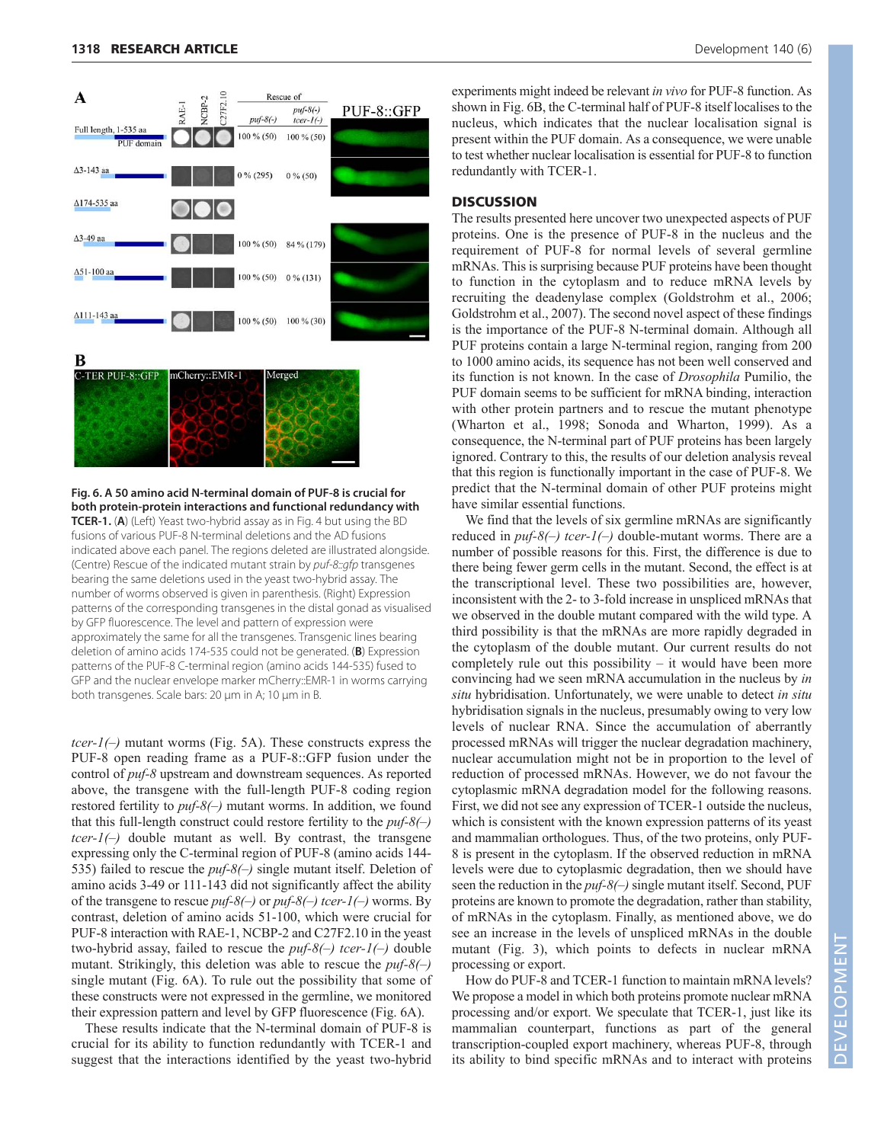

**Fig. 6. A 50 amino acid N-terminal domain of PUF-8 is crucial for both protein-protein interactions and functional redundancy with TCER-1.** (**A**) (Left) Yeast two-hybrid assay as in Fig. 4 but using the BD fusions of various PUF-8 N-terminal deletions and the AD fusions indicated above each panel. The regions deleted are illustrated alongside. (Centre) Rescue of the indicated mutant strain by puf-8::gfp transgenes bearing the same deletions used in the yeast two-hybrid assay. The number of worms observed is given in parenthesis. (Right) Expression patterns of the corresponding transgenes in the distal gonad as visualised by GFP fluorescence. The level and pattern of expression were approximately the same for all the transgenes. Transgenic lines bearing deletion of amino acids 174-535 could not be generated. (**B**) Expression patterns of the PUF-8 C-terminal region (amino acids 144-535) fused to GFP and the nuclear envelope marker mCherry::EMR-1 in worms carrying both transgenes. Scale bars: 20 μm in A; 10 μm in B.

*tcer-1(–)* mutant worms (Fig. 5A). These constructs express the PUF-8 open reading frame as a PUF-8::GFP fusion under the control of *puf-8* upstream and downstream sequences. As reported above, the transgene with the full-length PUF-8 coding region restored fertility to *puf-8(–)* mutant worms. In addition, we found that this full-length construct could restore fertility to the *puf-8(–) tcer-1(–)* double mutant as well. By contrast, the transgene expressing only the C-terminal region of PUF-8 (amino acids 144- 535) failed to rescue the *puf-8(–)* single mutant itself. Deletion of amino acids 3-49 or 111-143 did not significantly affect the ability of the transgene to rescue *puf-8(–)* or *puf-8(–) tcer-1(–)* worms. By contrast, deletion of amino acids 51-100, which were crucial for PUF-8 interaction with RAE-1, NCBP-2 and C27F2.10 in the yeast two-hybrid assay, failed to rescue the *puf-8(–) tcer-1(–)* double mutant. Strikingly, this deletion was able to rescue the *puf-8(–)* single mutant (Fig. 6A). To rule out the possibility that some of these constructs were not expressed in the germline, we monitored their expression pattern and level by GFP fluorescence (Fig. 6A).

These results indicate that the N-terminal domain of PUF-8 is crucial for its ability to function redundantly with TCER-1 and suggest that the interactions identified by the yeast two-hybrid experiments might indeed be relevant *in vivo* for PUF-8 function. As shown in Fig. 6B, the C-terminal half of PUF-8 itself localises to the nucleus, which indicates that the nuclear localisation signal is present within the PUF domain. As a consequence, we were unable to test whether nuclear localisation is essential for PUF-8 to function redundantly with TCER-1.

# **DISCUSSION**

The results presented here uncover two unexpected aspects of PUF proteins. One is the presence of PUF-8 in the nucleus and the requirement of PUF-8 for normal levels of several germline mRNAs. This is surprising because PUF proteins have been thought to function in the cytoplasm and to reduce mRNA levels by recruiting the deadenylase complex (Goldstrohm et al., 2006; Goldstrohm et al., 2007). The second novel aspect of these findings is the importance of the PUF-8 N-terminal domain. Although all PUF proteins contain a large N-terminal region, ranging from 200 to 1000 amino acids, its sequence has not been well conserved and its function is not known. In the case of *Drosophila* Pumilio, the PUF domain seems to be sufficient for mRNA binding, interaction with other protein partners and to rescue the mutant phenotype (Wharton et al., 1998; Sonoda and Wharton, 1999). As a consequence, the N-terminal part of PUF proteins has been largely ignored. Contrary to this, the results of our deletion analysis reveal that this region is functionally important in the case of PUF-8. We predict that the N-terminal domain of other PUF proteins might have similar essential functions.

We find that the levels of six germline mRNAs are significantly reduced in *puf-8(–) tcer-1(–)* double-mutant worms. There are a number of possible reasons for this. First, the difference is due to there being fewer germ cells in the mutant. Second, the effect is at the transcriptional level. These two possibilities are, however, inconsistent with the 2- to 3-fold increase in unspliced mRNAs that we observed in the double mutant compared with the wild type. A third possibility is that the mRNAs are more rapidly degraded in the cytoplasm of the double mutant. Our current results do not completely rule out this possibility – it would have been more convincing had we seen mRNA accumulation in the nucleus by *in situ* hybridisation. Unfortunately, we were unable to detect *in situ* hybridisation signals in the nucleus, presumably owing to very low levels of nuclear RNA. Since the accumulation of aberrantly processed mRNAs will trigger the nuclear degradation machinery, nuclear accumulation might not be in proportion to the level of reduction of processed mRNAs. However, we do not favour the cytoplasmic mRNA degradation model for the following reasons. First, we did not see any expression of TCER-1 outside the nucleus, which is consistent with the known expression patterns of its yeast and mammalian orthologues. Thus, of the two proteins, only PUF-8 is present in the cytoplasm. If the observed reduction in mRNA levels were due to cytoplasmic degradation, then we should have seen the reduction in the *puf-8(–)* single mutant itself. Second, PUF proteins are known to promote the degradation, rather than stability, of mRNAs in the cytoplasm. Finally, as mentioned above, we do see an increase in the levels of unspliced mRNAs in the double mutant (Fig. 3), which points to defects in nuclear mRNA processing or export.

How do PUF-8 and TCER-1 function to maintain mRNA levels? We propose a model in which both proteins promote nuclear mRNA processing and/or export. We speculate that TCER-1, just like its mammalian counterpart, functions as part of the general transcription-coupled export machinery, whereas PUF-8, through its ability to bind specific mRNAs and to interact with proteins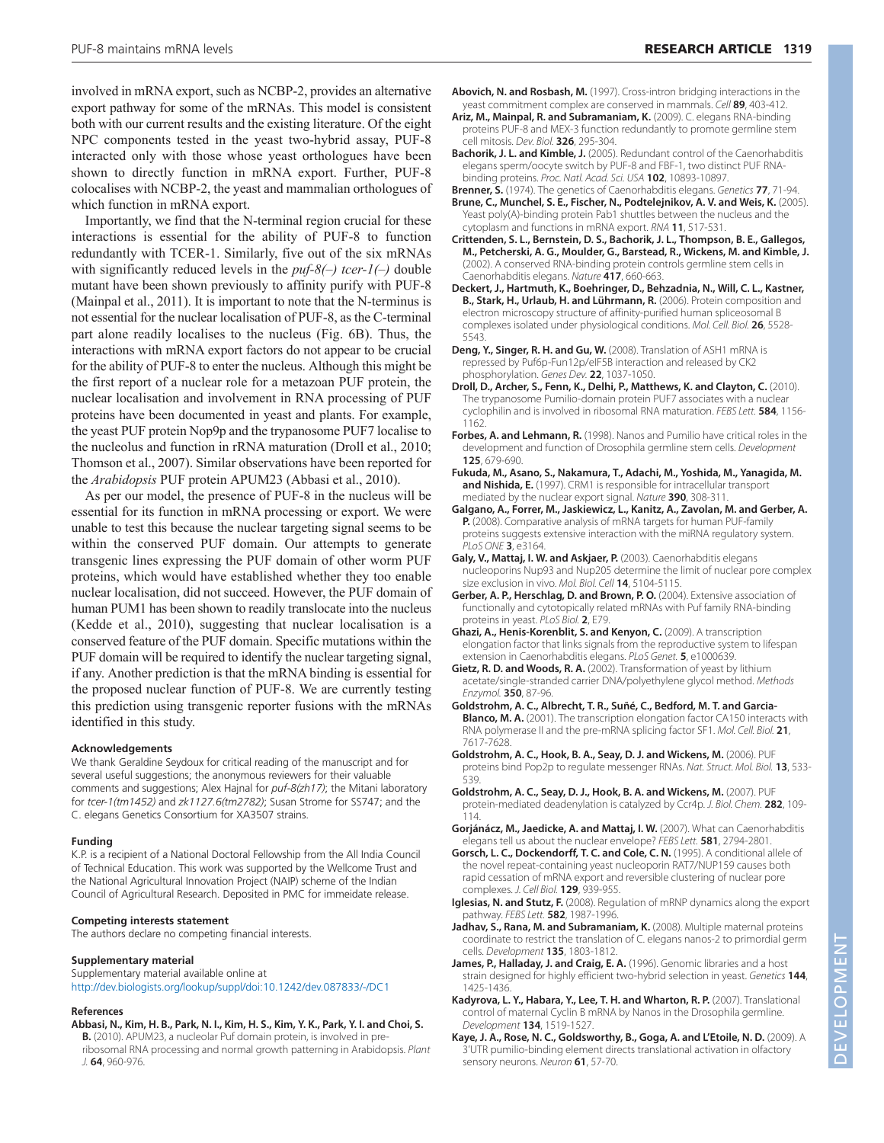involved in mRNA export, such as NCBP-2, provides an alternative export pathway for some of the mRNAs. This model is consistent both with our current results and the existing literature. Of the eight NPC components tested in the yeast two-hybrid assay, PUF-8 interacted only with those whose yeast orthologues have been shown to directly function in mRNA export. Further, PUF-8 colocalises with NCBP-2, the yeast and mammalian orthologues of which function in mRNA export.

Importantly, we find that the N-terminal region crucial for these interactions is essential for the ability of PUF-8 to function redundantly with TCER-1. Similarly, five out of the six mRNAs with significantly reduced levels in the *puf-8(–) tcer-1(–)* double mutant have been shown previously to affinity purify with PUF-8 (Mainpal et al., 2011). It is important to note that the N-terminus is not essential for the nuclear localisation of PUF-8, as the C-terminal part alone readily localises to the nucleus (Fig. 6B). Thus, the interactions with mRNA export factors do not appear to be crucial for the ability of PUF-8 to enter the nucleus. Although this might be the first report of a nuclear role for a metazoan PUF protein, the nuclear localisation and involvement in RNA processing of PUF proteins have been documented in yeast and plants. For example, the yeast PUF protein Nop9p and the trypanosome PUF7 localise to the nucleolus and function in rRNA maturation (Droll et al., 2010; Thomson et al., 2007). Similar observations have been reported for the *Arabidopsis* PUF protein APUM23 (Abbasi et al., 2010).

As per our model, the presence of PUF-8 in the nucleus will be essential for its function in mRNA processing or export. We were unable to test this because the nuclear targeting signal seems to be within the conserved PUF domain. Our attempts to generate transgenic lines expressing the PUF domain of other worm PUF proteins, which would have established whether they too enable nuclear localisation, did not succeed. However, the PUF domain of human PUM1 has been shown to readily translocate into the nucleus (Kedde et al., 2010), suggesting that nuclear localisation is a conserved feature of the PUF domain. Specific mutations within the PUF domain will be required to identify the nuclear targeting signal, if any. Another prediction is that the mRNA binding is essential for the proposed nuclear function of PUF-8. We are currently testing this prediction using transgenic reporter fusions with the mRNAs identified in this study.

## **Acknowledgements**

We thank Geraldine Seydoux for critical reading of the manuscript and for several useful suggestions; the anonymous reviewers for their valuable comments and suggestions; Alex Hajnal for *puf-8(zh17)*; the Mitani laboratory for *tcer-1(tm1452)* and *zk1127.6(tm2782)*; Susan Strome for SS747; and the C. elegans Genetics Consortium for XA3507 strains.

## **Funding**

K.P. is a recipient of a National Doctoral Fellowship from the All India Council of Technical Education. This work was supported by the Wellcome Trust and the National Agricultural Innovation Project (NAIP) scheme of the Indian Council of Agricultural Research. Deposited in PMC for immeidate release.

## **Competing interests statement**

The authors declare no competing financial interests.

## **Supplementary material**

Supplementary material available online at http://dev.biologists.org/lookup/suppl/doi:10.1242/dev.087833/-/DC1

#### **References**

**Abbasi, N., Kim, H. B., Park, N. I., Kim, H. S., Kim, Y. K., Park, Y. I. and Choi, S.**

**B.** (2010). APUM23, a nucleolar Puf domain protein, is involved in preribosomal RNA processing and normal growth patterning in Arabidopsis. Plant J. **64**, 960-976.

- **Ariz, M., Mainpal, R. and Subramaniam, K.** (2009). C. elegans RNA-binding proteins PUF-8 and MEX-3 function redundantly to promote germline stem cell mitosis. Dev. Biol. **326**, 295-304.
- **Bachorik, J. L. and Kimble, J.** (2005). Redundant control of the Caenorhabditis elegans sperm/oocyte switch by PUF-8 and FBF-1, two distinct PUF RNAbinding proteins. Proc. Natl. Acad. Sci. USA **102**, 10893-10897.
- **Brenner, S.** (1974). The genetics of Caenorhabditis elegans. Genetics **77**, 71-94. **Brune, C., Munchel, S. E., Fischer, N., Podtelejnikov, A. V. and Weis, K.** (2005). Yeast poly(A)-binding protein Pab1 shuttles between the nucleus and the cytoplasm and functions in mRNA export. RNA **11**, 517-531.
- **Crittenden, S. L., Bernstein, D. S., Bachorik, J. L., Thompson, B. E., Gallegos, M., Petcherski, A. G., Moulder, G., Barstead, R., Wickens, M. and Kimble, J.** (2002). A conserved RNA-binding protein controls germline stem cells in Caenorhabditis elegans. Nature **417**, 660-663.
- **Deckert, J., Hartmuth, K., Boehringer, D., Behzadnia, N., Will, C. L., Kastner, B., Stark, H., Urlaub, H. and Lührmann, R.** (2006). Protein composition and electron microscopy structure of affinity-purified human spliceosomal B complexes isolated under physiological conditions. Mol. Cell. Biol. **26**, 5528- 5543.
- **Deng, Y., Singer, R. H. and Gu, W.** (2008). Translation of ASH1 mRNA is repressed by Puf6p-Fun12p/eIF5B interaction and released by CK2 phosphorylation. Genes Dev. **22**, 1037-1050.
- **Droll, D., Archer, S., Fenn, K., Delhi, P., Matthews, K. and Clayton, C.** (2010). The trypanosome Pumilio-domain protein PUF7 associates with a nuclear cyclophilin and is involved in ribosomal RNA maturation. FEBS Lett. **584**, 1156- 1162.
- **Forbes, A. and Lehmann, R.** (1998). Nanos and Pumilio have critical roles in the development and function of Drosophila germline stem cells. Development **125**, 679-690.
- **Fukuda, M., Asano, S., Nakamura, T., Adachi, M., Yoshida, M., Yanagida, M. and Nishida, E.** (1997). CRM1 is responsible for intracellular transport mediated by the nuclear export signal. Nature **390**, 308-311.
- **Galgano, A., Forrer, M., Jaskiewicz, L., Kanitz, A., Zavolan, M. and Gerber, A. P.** (2008). Comparative analysis of mRNA targets for human PUF-family proteins suggests extensive interaction with the miRNA regulatory system. PLoS ONE **3**, e3164.
- **Galy, V., Mattaj, I. W. and Askjaer, P.** (2003). Caenorhabditis elegans nucleoporins Nup93 and Nup205 determine the limit of nuclear pore complex size exclusion in vivo. Mol. Biol. Cell **14**, 5104-5115.
- **Gerber, A. P., Herschlag, D. and Brown, P. O.** (2004). Extensive association of functionally and cytotopically related mRNAs with Puf family RNA-binding proteins in yeast. PLoS Biol. **2**, E79.
- **Ghazi, A., Henis-Korenblit, S. and Kenyon, C.** (2009). A transcription elongation factor that links signals from the reproductive system to lifespan extension in Caenorhabditis elegans. PLoS Genet. **5**, e1000639.
- **Gietz, R. D. and Woods, R. A.** (2002). Transformation of yeast by lithium acetate/single-stranded carrier DNA/polyethylene glycol method. Methods Enzymol. **350**, 87-96.
- **Goldstrohm, A. C., Albrecht, T. R., Suñé, C., Bedford, M. T. and Garcia-Blanco, M. A.** (2001). The transcription elongation factor CA150 interacts with RNA polymerase II and the pre-mRNA splicing factor SF1. Mol. Cell. Biol. **21**, 7617-7628.
- **Goldstrohm, A. C., Hook, B. A., Seay, D. J. and Wickens, M.** (2006). PUF proteins bind Pop2p to regulate messenger RNAs. Nat. Struct. Mol. Biol. **13**, 533- 539.
- **Goldstrohm, A. C., Seay, D. J., Hook, B. A. and Wickens, M.** (2007). PUF protein-mediated deadenylation is catalyzed by Ccr4p. J. Biol. Chem. **282**, 109- 114.
- **Gorjánácz, M., Jaedicke, A. and Mattaj, I. W.** (2007). What can Caenorhabditis elegans tell us about the nuclear envelope? FEBS Lett. **581**, 2794-2801.
- **Gorsch, L. C., Dockendorff, T. C. and Cole, C. N.** (1995). A conditional allele of the novel repeat-containing yeast nucleoporin RAT7/NUP159 causes both rapid cessation of mRNA export and reversible clustering of nuclear pore complexes. J. Cell Biol. **129**, 939-955.
- **Iglesias, N. and Stutz, F.** (2008). Regulation of mRNP dynamics along the export pathway. FEBS Lett. **582**, 1987-1996.
- Jadhav, S., Rana, M. and Subramaniam, K. (2008). Multiple maternal proteins coordinate to restrict the translation of C. elegans nanos-2 to primordial germ cells. Development **135**, 1803-1812.
- James, P., Halladay, J. and Craig, E. A. (1996). Genomic libraries and a host strain designed for highly efficient two-hybrid selection in yeast. Genetics **144**, 1425-1436.
- **Kadyrova, L. Y., Habara, Y., Lee, T. H. and Wharton, R. P.** (2007). Translational control of maternal Cyclin B mRNA by Nanos in the Drosophila germline. Development **134**, 1519-1527.
- **Kaye, J. A., Rose, N. C., Goldsworthy, B., Goga, A. and L'Etoile, N. D.** (2009). A 3'UTR pumilio-binding element directs translational activation in olfactory sensory neurons. Neuron **61**, 57-70.